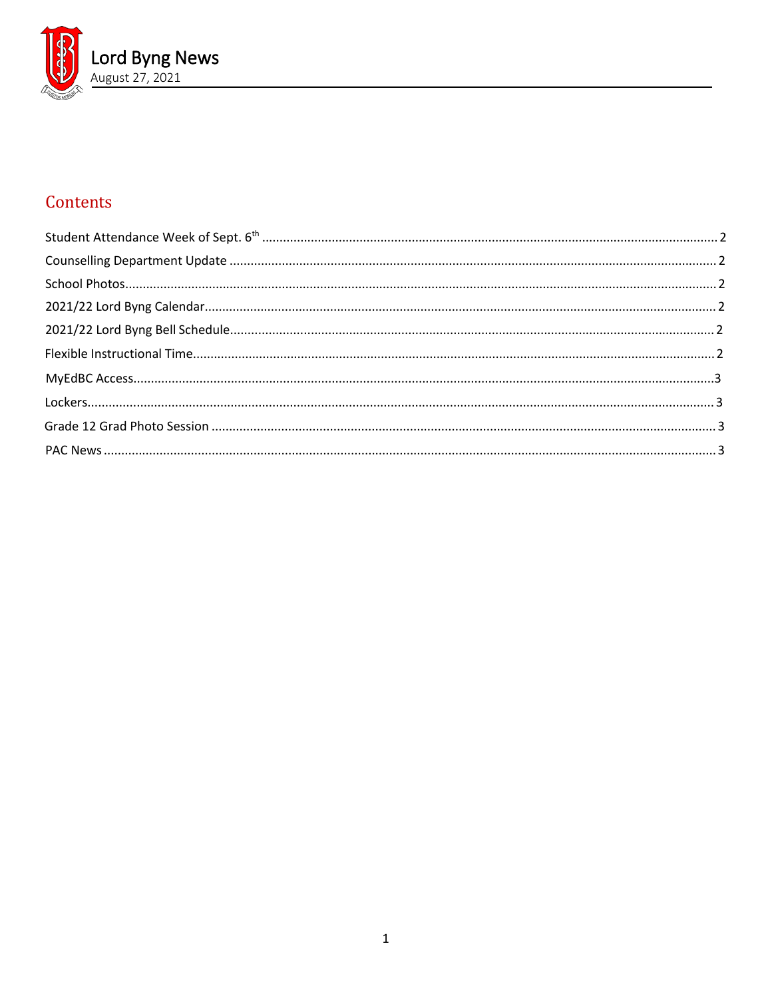

# Contents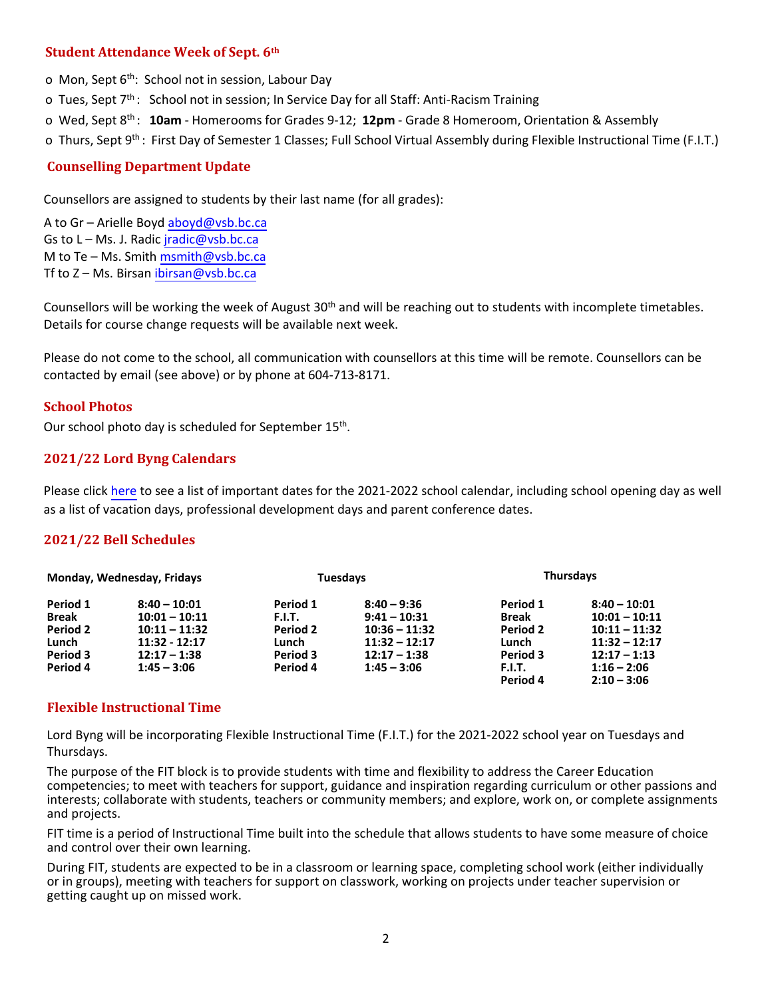## <span id="page-1-0"></span>**Student Attendance Week of Sept. 6th**

o Mon, Sept 6<sup>th</sup>: School not in session, Labour Day

o Tues, Sept 7<sup>th</sup>: School not in session; In Service Day for all Staff: Anti-Racism Training

o Wed, Sept 8 th : **10am** - Homerooms for Grades 9-12; **12pm** - Grade 8 Homeroom, Orientation & Assembly

<span id="page-1-1"></span>o Thurs, Sept 9<sup>th</sup>: First Day of Semester 1 Classes; Full School Virtual Assembly during Flexible Instructional Time (F.I.T.)

# **Counselling Department Update**

Counsellors are assigned to students by their last name (for all grades):

A to Gr – Arielle Boyd [aboyd@vsb.bc.ca](mailto:aboyd@vsb.bc.ca) Gs to  $L - Ms$ . J. Radic *iradic@vsb.bc.ca* M to Te – Ms. Smith  $msmith@vsb,bc.ca$ Tf to Z - Ms. Birsan [ibirsan@vsb.bc.ca](mailto:ibirsan@vsb.bc.ca)

Counsellors will be working the week of August 30<sup>th</sup> and will be reaching out to students with incomplete timetables. Details for course change requests will be available next week.

Please do not come to the school, all communication with counsellors at this time will be remote. Counsellors can be contacted by email (see above) or by phone at 604-713-8171.

#### <span id="page-1-2"></span>**School Photos**

Our school photo day is scheduled for September 15<sup>th</sup>.

## <span id="page-1-3"></span>**2021/22 Lord Byng Calendars**

<span id="page-1-4"></span>Please click [here](https://www.vsb.bc.ca/schools/lord-byng/About-Us/Publications/Documents/Secondary%20Calendar%202021-22%20-%20Byng.pdf) to see a list of important dates for the 2021-2022 school calendar, including school opening day as well as a list of vacation days, professional development days and parent conference dates.

## **2021/22 Bell Schedules**

<span id="page-1-5"></span>

| Monday, Wednesday, Fridays |                 | <b>Tuesdays</b> |                 | <b>Thursdays</b> |                 |
|----------------------------|-----------------|-----------------|-----------------|------------------|-----------------|
| Period 1                   | $8:40 - 10:01$  | Period 1        | $8:40 - 9:36$   | Period 1         | $8:40 - 10:01$  |
| Break                      | $10:01 - 10:11$ | F.I.T.          | $9:41 - 10:31$  | <b>Break</b>     | $10:01 - 10:11$ |
| <b>Period 2</b>            | $10:11 - 11:32$ | Period 2        | $10:36 - 11:32$ | Period 2         | $10:11 - 11:32$ |
| Lunch                      | $11:32 - 12:17$ | Lunch           | $11:32 - 12:17$ | Lunch            | $11:32 - 12:17$ |
| Period 3                   | $12:17 - 1:38$  | Period 3        | $12:17 - 1:38$  | Period 3         | $12:17 - 1:13$  |
| Period 4                   | $1:45 - 3:06$   | Period 4        | $1:45 - 3:06$   | F.I.T.           | $1:16 - 2:06$   |
|                            |                 |                 |                 | Period 4         | $2:10 - 3:06$   |

#### <span id="page-1-6"></span>**Flexible Instructional Time**

Lord Byng will be incorporating Flexible Instructional Time (F.I.T.) for the 2021-2022 school year on Tuesdays and Thursdays.

<span id="page-1-7"></span>The purpose of the FIT block is to provide students with time and flexibility to address the Career Education competencies; to meet with teachers for support, guidance and inspiration regarding curriculum or other passions and interests; collaborate with students, teachers or community members; and explore, work on, or complete assignments and projects.

FIT time is a period of Instructional Time built into the schedule that allows students to have some measure of choice and control over their own learning.

[During FIT, students are expected to be in a classroom or learning space, completing school](https://artona.com/schools/BYNG/programs/graduation) work (either individually or in groups), meeting with teachers for support on classwork, working on projects under teacher supervision or getting caught up on missed work.